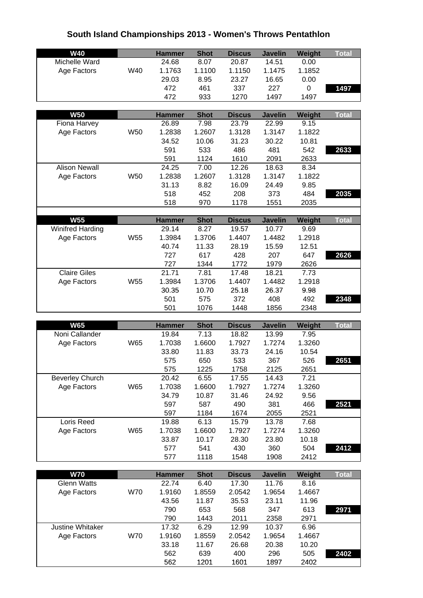## **South Island Championships 2013 - Women's Throws Pentathlon**

| <b>W40</b>              |            |                        |                     |                        | <b>Javelin</b> |                |              |
|-------------------------|------------|------------------------|---------------------|------------------------|----------------|----------------|--------------|
| Michelle Ward           |            | <b>Hammer</b><br>24.68 | <b>Shot</b><br>8.07 | <b>Discus</b><br>20.87 | 14.51          | Weight<br>0.00 | <b>Total</b> |
| Age Factors             | W40        | 1.1763                 | 1.1100              | 1.1150                 | 1.1475         | 1.1852         |              |
|                         |            | 29.03                  | 8.95                | 23.27                  | 16.65          | 0.00           |              |
|                         |            | 472                    | 461                 | 337                    | 227            | 0              | 1497         |
|                         |            | 472                    | 933                 | 1270                   | 1497           | 1497           |              |
|                         |            |                        |                     |                        |                |                |              |
| <b>W50</b>              |            | <b>Hammer</b>          | <b>Shot</b>         | <b>Discus</b>          | <b>Javelin</b> | Weight         | <b>Total</b> |
| Fiona Harvey            |            | 26.89                  | 7.98                | 23.79                  | 22.99          | 9.15           |              |
| Age Factors             | W50        | 1.2838                 | 1.2607              | 1.3128                 | 1.3147         | 1.1822         |              |
|                         |            | 34.52                  | 10.06               | 31.23                  | 30.22          | 10.81          |              |
|                         |            | 591                    | 533                 | 486                    | 481            | 542            | 2633         |
|                         |            | 591                    | 1124                | 1610                   | 2091           | 2633           |              |
| <b>Alison Newall</b>    |            | 24.25                  | 7.00                | 12.26                  | 18.63          | 8.34           |              |
| Age Factors             | <b>W50</b> | 1.2838                 | 1.2607              | 1.3128                 | 1.3147         | 1.1822         |              |
|                         |            | 31.13                  | 8.82                | 16.09                  | 24.49          | 9.85           |              |
|                         |            | 518                    | 452                 | 208                    | 373            | 484            | 2035         |
|                         |            | 518                    | 970                 | 1178                   | 1551           | 2035           |              |
|                         |            |                        |                     |                        |                |                |              |
| <b>W55</b>              |            | <b>Hammer</b>          | <b>Shot</b>         | <b>Discus</b>          | <b>Javelin</b> | Weight         | <b>Total</b> |
| <b>Winifred Harding</b> |            | 29.14                  | 8.27                | 19.57                  | 10.77          | 9.69           |              |
| Age Factors             | W55        | 1.3984                 | 1.3706              | 1.4407                 | 1.4482         | 1.2918         |              |
|                         |            | 40.74                  | 11.33               | 28.19                  | 15.59          | 12.51          |              |
|                         |            | 727                    | 617                 | 428                    | 207            | 647            | 2626         |
|                         |            | 727                    | 1344                | 1772                   | 1979           | 2626           |              |
| <b>Claire Giles</b>     |            | 21.71                  | 7.81                | 17.48                  | 18.21          | 7.73           |              |
| Age Factors             | W55        | 1.3984                 | 1.3706              | 1.4407                 | 1.4482         | 1.2918         |              |
|                         |            | 30.35                  | 10.70               | 25.18                  | 26.37          | 9.98           |              |
|                         |            | 501                    | 575                 | 372                    | 408            | 492            | 2348         |
|                         |            | 501                    | 1076                | 1448                   | 1856           | 2348           |              |
|                         |            |                        |                     |                        |                |                |              |
| <b>W65</b>              |            | <b>Hammer</b>          | <b>Shot</b>         | <b>Discus</b>          | <b>Javelin</b> | Weight         | <b>Total</b> |
| Noni Callander          |            | 19.84                  | 7.13                | 18.82                  | 13.99          | 7.95           |              |
| Age Factors             | W65        | 1.7038                 | 1.6600              | 1.7927                 | 1.7274         | 1.3260         |              |
|                         |            | 33.80                  | 11.83               | 33.73                  | 24.16          | 10.54          |              |
|                         |            | 575                    | 650                 | 533                    | 367            | 526            | 2651         |
|                         |            | 575                    | 1225                | 1758                   | 2125           | 2651           |              |
| <b>Beverley Church</b>  |            | 20.42                  | 6.55                | 17.55                  | 14.43          | 7.21           |              |
| Age Factors             | <b>W65</b> | 1.7038                 | 1.6600              | 1.7927                 | 1.7274         | 1.3260         |              |
|                         |            | 34.79                  | 10.87               | 31.46                  | 24.92          | 9.56           |              |
|                         |            | 597                    | 587                 | 490                    | 381            | 466            | 2521         |
|                         |            | 597                    | 1184                | 1674                   | 2055           | 2521           |              |
| Loris Reed              |            | 19.88                  | 6.13                | 15.79                  | 13.78          | 7.68           |              |
| Age Factors             | W65        | 1.7038                 | 1.6600              | 1.7927                 | 1.7274         | 1.3260         |              |
|                         |            | 33.87                  | 10.17               | 28.30                  | 23.80          | 10.18          |              |
|                         |            | 577                    | 541                 | 430                    | 360            | 504            | 2412         |
|                         |            | 577                    | 1118                | 1548                   | 1908           | 2412           |              |
|                         |            |                        |                     |                        |                |                |              |
| <b>W70</b>              |            | <b>Hammer</b>          | <b>Shot</b>         | <b>Discus</b>          | <b>Javelin</b> | Weight         | <b>Total</b> |
| <b>Glenn Watts</b>      |            | 22.74                  | 6.40                | 17.30                  | 11.76          | 8.16           |              |
| Age Factors             | <b>W70</b> | 1.9160                 | 1.8559              | 2.0542                 | 1.9654         | 1.4667         |              |

| Age Factors      | VV LU | 1.91 bu | P.8559 | 2.0542 | 1.9654 | 1.4667 |      |
|------------------|-------|---------|--------|--------|--------|--------|------|
|                  |       | 43.56   | 11.87  | 35.53  | 23.11  | 11.96  |      |
|                  |       | 790     | 653    | 568    | 347    | 613    | 2971 |
|                  |       | 790     | 1443   | 2011   | 2358   | 2971   |      |
| Justine Whitaker |       | 17.32   | 6.29   | 12.99  | 10.37  | 6.96   |      |
| Age Factors      | W70   | 1.9160  | 1.8559 | 2.0542 | 1.9654 | 1.4667 |      |
|                  |       | 33.18   | 11.67  | 26.68  | 20.38  | 10.20  |      |
|                  |       | 562     | 639    | 400    | 296    | 505    | 2402 |
|                  |       | 562     | 1201   | 1601   | 1897   | 2402   |      |

┪